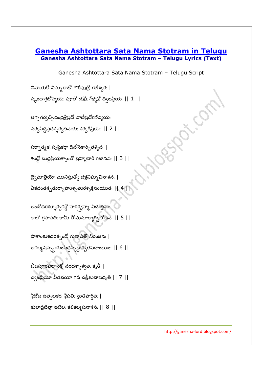## **Ganesha Ashtottara Sata Nama Stotram in Telugu Ganesha Ashtottara Sata Nama Stotram – Telugu Lyrics (Text)**

Ganesha Ashtottara Sata Nama Stotram – Telugu Script

వినాయకో విఘ్నరాజో గౌరీపుత్రో గణేశ్వర: |

 $\mathcal{L}_{\mathcal{A}}$  )  $\mathcal{L}_{\mathcal{A}}$  ,  $\mathcal{L}_{\mathcal{A}}$  ,  $\mathcal{L}_{\mathcal{A}}$  ,  $\mathcal{L}_{\mathcal{A}}$  ,  $\mathcal{L}_{\mathcal{A}}$  ,  $\mathcal{L}_{\mathcal{A}}$  ,  $\mathcal{L}_{\mathcal{A}}$  ,  $\mathcal{L}_{\mathcal{A}}$  ,  $\mathcal{L}_{\mathcal{A}}$  ,  $\mathcal{L}_{\mathcal{A}}$  ,  $\mathcal{L}_{\mathcal{A}}$  ,  $\mathcal{L}_{\mathcal{A}}$  ,

అగ్ని గర్వచ్చిదిం<u>ద్రశ్రీప్ర</u>దో వాణీప్రదో¤్ వ్యయ:

సర్వసిద్దిప్రదశ్శర్వతనయ: శర్వరీప్రియ: || 2 || $\,$ 

సర్వాత్మక: సృష్టికర్తా దేవోసేకార్చితశ్శివ: |

శుద్ధో బుద్దిప్రియశ్శాంతో బ్రహ్మచారీ గజానన: || 3 ||

ద్వైమాత్రేయో మునిస్తుత్యో భక్తవిఘ్నవినాశన: | ఏకదంతశ్చతుర్బాహుశ్చతురశ్శక్తిసంయుత: || 4 || $\parallel$ 

లంబోదరశ్ళూర్పకర్ణో హరర్నహ్మ, విదుత్తమ: | కాలో గ్రహపతి: కామీ నోమసూర్యాగ్ని లోచన: || 5 ||

పాశాంకుశధరశ్చండో గుణాతీతో నిరంజన: | అకల్మషస<sub>్వు</sub>యంసిద్దస్పిద్దార్చితపదాంబుజ: || 6 ||

బీజపూరపలాసక్తో వరదశ్నాశ్వత: కృతీ $\parallel$  $\alpha$ (జప్రియో వీతభయో గదీ చక్రీక్షుచాపధృత్ || 7 ||

శ్రీదోజ ఉత్పలకర: శ్రీపతి: స్తుతిహర్షిత: |

కులాద్రిభేత్తా జటిల: కలికల్మషనాశన: || 8 ||-

http://ganesha-lord.blogspot.com/

Asian